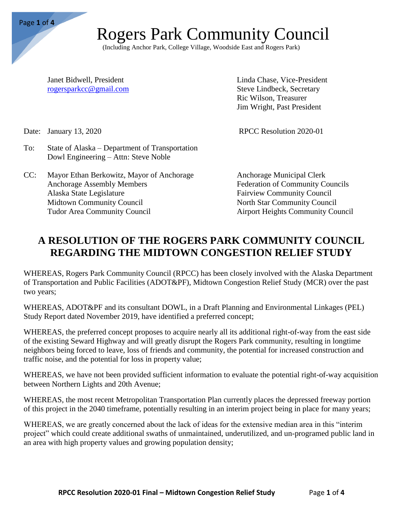Page **1** of **4**

### Rogers Park Community Council

(Including Anchor Park, College Village, Woodside East and Rogers Park)

Janet Bidwell, President Linda Chase, Vice-President rogersparkcc@gmail.com Steve Lindbeck, Secretary Ric Wilson, Treasurer Jim Wright, Past President

Date: January 13, 2020 RPCC Resolution 2020-01

- To: State of Alaska Department of Transportation Dowl Engineering – Attn: Steve Noble
- CC: Mayor Ethan Berkowitz, Mayor of Anchorage Anchorage Municipal Clerk Anchorage Assembly Members Federation of Community Councils Alaska State Legislature Fairview Community Council Midtown Community Council North Star Community Council Tudor Area Community Council Airport Heights Community Council

### **A RESOLUTION OF THE ROGERS PARK COMMUNITY COUNCIL REGARDING THE MIDTOWN CONGESTION RELIEF STUDY**

WHEREAS, Rogers Park Community Council (RPCC) has been closely involved with the Alaska Department of Transportation and Public Facilities (ADOT&PF), Midtown Congestion Relief Study (MCR) over the past two years;

WHEREAS, ADOT&PF and its consultant DOWL, in a Draft Planning and Environmental Linkages (PEL) Study Report dated November 2019, have identified a preferred concept;

WHEREAS, the preferred concept proposes to acquire nearly all its additional right-of-way from the east side of the existing Seward Highway and will greatly disrupt the Rogers Park community, resulting in longtime neighbors being forced to leave, loss of friends and community, the potential for increased construction and traffic noise, and the potential for loss in property value;

WHEREAS, we have not been provided sufficient information to evaluate the potential right-of-way acquisition between Northern Lights and 20th Avenue;

WHEREAS, the most recent Metropolitan Transportation Plan currently places the depressed freeway portion of this project in the 2040 timeframe, potentially resulting in an interim project being in place for many years;

WHEREAS, we are greatly concerned about the lack of ideas for the extensive median area in this "interim project" which could create additional swaths of unmaintained, underutilized, and un-programed public land in an area with high property values and growing population density;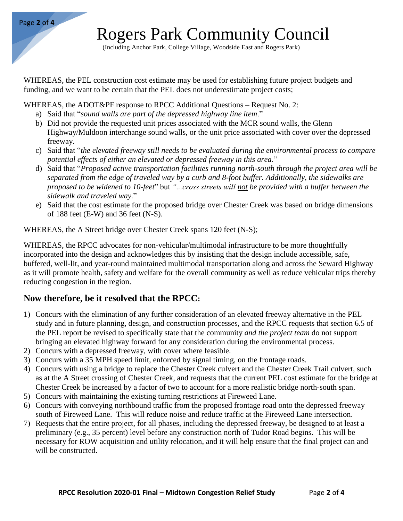

## Rogers Park Community Council

(Including Anchor Park, College Village, Woodside East and Rogers Park)

WHEREAS, the PEL construction cost estimate may be used for establishing future project budgets and funding, and we want to be certain that the PEL does not underestimate project costs;

WHEREAS, the ADOT&PF response to RPCC Additional Questions – Request No. 2:

- a) Said that "*sound walls are part of the depressed highway line item*."
- b) Did not provide the requested unit prices associated with the MCR sound walls, the Glenn Highway/Muldoon interchange sound walls, or the unit price associated with cover over the depressed freeway.
- c) Said that "*the elevated freeway still needs to be evaluated during the environmental process to compare potential effects of either an elevated or depressed freeway in this area*."
- d) Said that "*Proposed active transportation facilities running north-south through the project area will be separated from the edge of traveled way by a curb and 8-foot buffer. Additionally, the sidewalks are proposed to be widened to 10-feet*" but *"...cross streets will not be provided with a buffer between the sidewalk and traveled way.*"
- e) Said that the cost estimate for the proposed bridge over Chester Creek was based on bridge dimensions of 188 feet (E-W) and 36 feet (N-S).

WHEREAS, the A Street bridge over Chester Creek spans 120 feet (N-S);

WHEREAS, the RPCC advocates for non-vehicular/multimodal infrastructure to be more thoughtfully incorporated into the design and acknowledges this by insisting that the design include accessible, safe, buffered, well-lit, and year-round maintained multimodal transportation along and across the Seward Highway as it will promote health, safety and welfare for the overall community as well as reduce vehicular trips thereby reducing congestion in the region.

#### **Now therefore, be it resolved that the RPCC:**

- 1) Concurs with the elimination of any further consideration of an elevated freeway alternative in the PEL study and in future planning, design, and construction processes, and the RPCC requests that section 6.5 of the PEL report be revised to specifically state that the community *and the project team* do not support bringing an elevated highway forward for any consideration during the environmental process.
- 2) Concurs with a depressed freeway, with cover where feasible.
- 3) Concurs with a 35 MPH speed limit, enforced by signal timing, on the frontage roads.
- 4) Concurs with using a bridge to replace the Chester Creek culvert and the Chester Creek Trail culvert, such as at the A Street crossing of Chester Creek, and requests that the current PEL cost estimate for the bridge at Chester Creek be increased by a factor of two to account for a more realistic bridge north-south span.
- 5) Concurs with maintaining the existing turning restrictions at Fireweed Lane.
- 6) Concurs with conveying northbound traffic from the proposed frontage road onto the depressed freeway south of Fireweed Lane. This will reduce noise and reduce traffic at the Fireweed Lane intersection.
- 7) Requests that the entire project, for all phases, including the depressed freeway, be designed to at least a preliminary (e.g., 35 percent) level before any construction north of Tudor Road begins. This will be necessary for ROW acquisition and utility relocation, and it will help ensure that the final project can and will be constructed.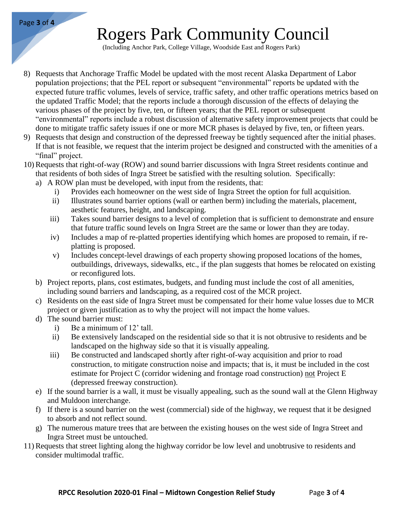# Rogers Park Community Council

(Including Anchor Park, College Village, Woodside East and Rogers Park)

- 8) Requests that Anchorage Traffic Model be updated with the most recent Alaska Department of Labor population projections; that the PEL report or subsequent "environmental" reports be updated with the expected future traffic volumes, levels of service, traffic safety, and other traffic operations metrics based on the updated Traffic Model; that the reports include a thorough discussion of the effects of delaying the various phases of the project by five, ten, or fifteen years; that the PEL report or subsequent "environmental" reports include a robust discussion of alternative safety improvement projects that could be done to mitigate traffic safety issues if one or more MCR phases is delayed by five, ten, or fifteen years.
- 9) Requests that design and construction of the depressed freeway be tightly sequenced after the initial phases. If that is not feasible, we request that the interim project be designed and constructed with the amenities of a "final" project.
- 10) Requests that right-of-way (ROW) and sound barrier discussions with Ingra Street residents continue and that residents of both sides of Ingra Street be satisfied with the resulting solution. Specifically:
	- a) A ROW plan must be developed, with input from the residents, that:
		- i) Provides each homeowner on the west side of Ingra Street the option for full acquisition.
		- ii) Illustrates sound barrier options (wall or earthen berm) including the materials, placement, aesthetic features, height, and landscaping.
		- iii) Takes sound barrier designs to a level of completion that is sufficient to demonstrate and ensure that future traffic sound levels on Ingra Street are the same or lower than they are today.
		- iv) Includes a map of re-platted properties identifying which homes are proposed to remain, if replatting is proposed.
		- v) Includes concept-level drawings of each property showing proposed locations of the homes, outbuildings, driveways, sidewalks, etc., if the plan suggests that homes be relocated on existing or reconfigured lots.
	- b) Project reports, plans, cost estimates, budgets, and funding must include the cost of all amenities, including sound barriers and landscaping, as a required cost of the MCR project.
	- c) Residents on the east side of Ingra Street must be compensated for their home value losses due to MCR project or given justification as to why the project will not impact the home values.
	- d) The sound barrier must:
		- i) Be a minimum of 12' tall.
		- ii) Be extensively landscaped on the residential side so that it is not obtrusive to residents and be landscaped on the highway side so that it is visually appealing.
		- iii) Be constructed and landscaped shortly after right-of-way acquisition and prior to road construction, to mitigate construction noise and impacts; that is, it must be included in the cost estimate for Project C (corridor widening and frontage road construction) not Project E (depressed freeway construction).
	- e) If the sound barrier is a wall, it must be visually appealing, such as the sound wall at the Glenn Highway and Muldoon interchange.
	- f) If there is a sound barrier on the west (commercial) side of the highway, we request that it be designed to absorb and not reflect sound.
	- g) The numerous mature trees that are between the existing houses on the west side of Ingra Street and Ingra Street must be untouched.
- 11) Requests that street lighting along the highway corridor be low level and unobtrusive to residents and consider multimodal traffic.